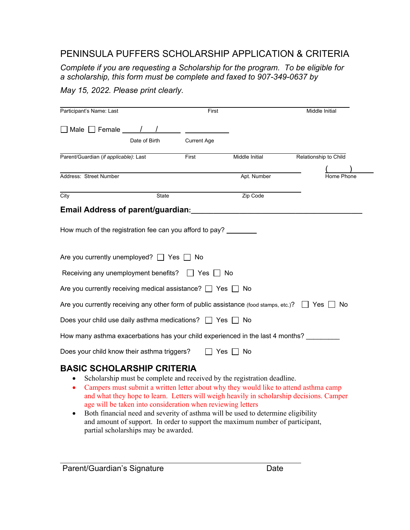## PENINSULA PUFFERS SCHOLARSHIP APPLICATION & CRITERIA

*Complete if you are requesting a Scholarship for the program. To be eligible for a scholarship, this form must be complete and faxed to 907-349-0637 by* 

*May 15, 2022. Please print clearly.* 

| Participant's Name: Last                                                                        |               | First              |                                                                         | Middle Initial                                                                       |
|-------------------------------------------------------------------------------------------------|---------------|--------------------|-------------------------------------------------------------------------|--------------------------------------------------------------------------------------|
| $\Box$ Male $\Box$ Female $\_\_\_\_\_\_\_\_$                                                    |               |                    |                                                                         |                                                                                      |
|                                                                                                 | Date of Birth | <b>Current Age</b> |                                                                         |                                                                                      |
| Parent/Guardian (if applicable): Last                                                           |               | First              | Middle Initial                                                          | Relationship to Child                                                                |
| Address: Street Number                                                                          |               |                    | Apt. Number                                                             | Home Phone                                                                           |
| City                                                                                            | State         |                    | Zip Code                                                                |                                                                                      |
| Email Address of parent/guardian:                                                               |               |                    |                                                                         |                                                                                      |
| Are you currently unemployed? $\Box$ Yes $\Box$ No<br>Receiving any unemployment benefits?      |               | Yes                | ∣ No                                                                    |                                                                                      |
| Are you currently receiving medical assistance? $\Box$ Yes $\Box$ No                            |               |                    |                                                                         |                                                                                      |
| Are you currently receiving any other form of public assistance (food stamps, etc.)? $\Box$ Yes |               |                    |                                                                         | No.                                                                                  |
| Does your child use daily asthma medications? $\Box$ Yes $\Box$ No                              |               |                    |                                                                         |                                                                                      |
| How many asthma exacerbations has your child experienced in the last 4 months?                  |               |                    |                                                                         |                                                                                      |
| Does your child know their asthma triggers?                                                     |               |                    | Yes ∐ No                                                                |                                                                                      |
| <b>BASIC SCHOLARSHIP CRITERIA</b>                                                               |               |                    | Scholarship must be complete and received by the registration deadline. | Campers must submit a written letter about why they would like to attend asthma camp |

- and what they hope to learn. Letters will weigh heavily in scholarship decisions. Camper age will be taken into consideration when reviewing letters
- Both financial need and severity of asthma will be used to determine eligibility and amount of support. In order to support the maximum number of participant, partial scholarships may be awarded.

 $\mathcal{L}=\mathcal{L}^{\mathcal{L}}$